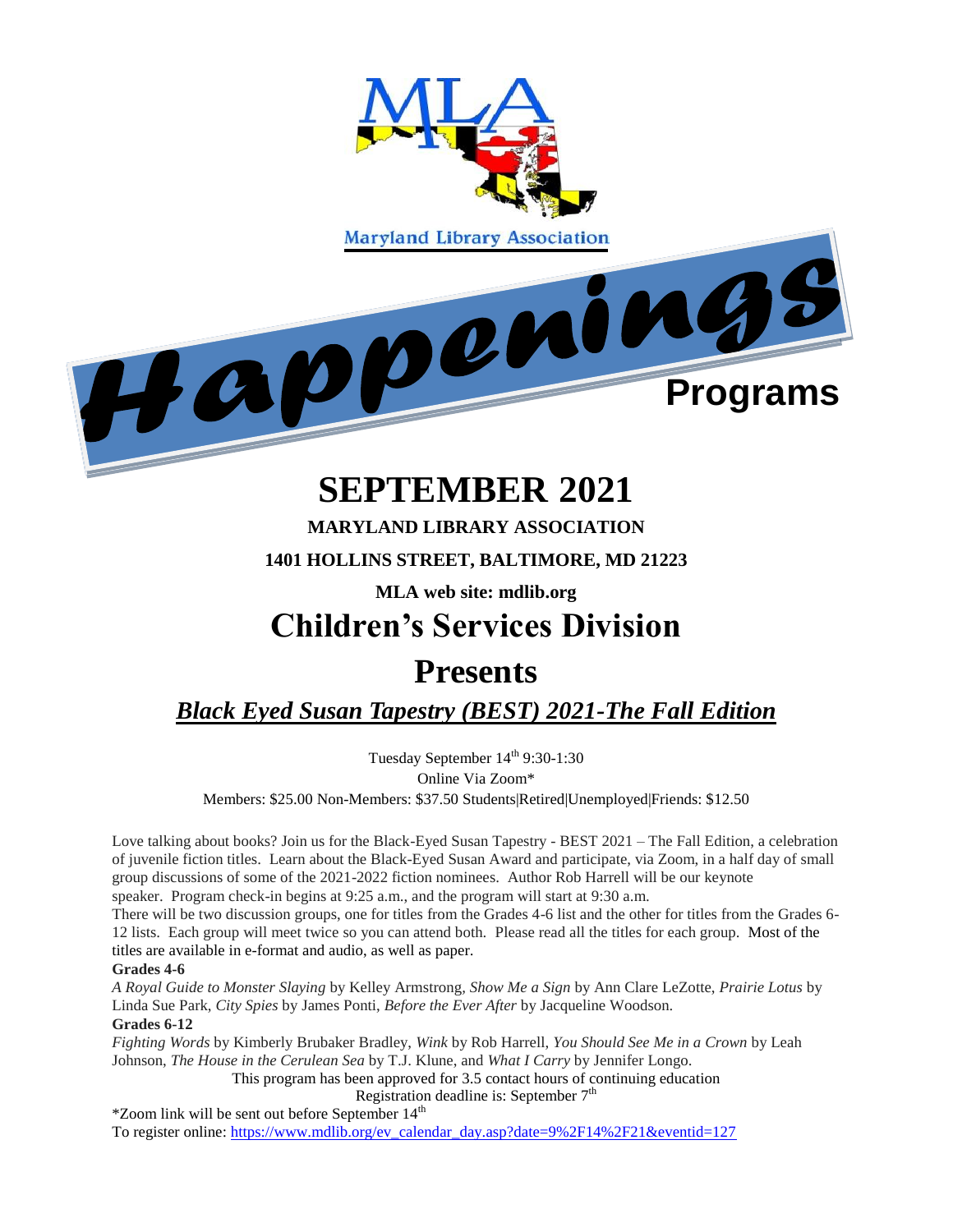

# **SEPTEMBER 2021**

**MARYLAND LIBRARY ASSOCIATION 1401 HOLLINS STREET, BALTIMORE, MD 21223**

**MLA web site: mdlib.org**

### **Children's Services Division**

### **Presents**

*Black Eyed Susan Tapestry (BEST) 2021-The Fall Edition*

Tuesday September 14<sup>th</sup> 9:30-1:30 Online Via Zoom\* Members: \$25.00 Non-Members: \$37.50 Students|Retired|Unemployed|Friends: \$12.50

Love talking about books? Join us for the Black-Eyed Susan Tapestry - BEST 2021 – The Fall Edition, a celebration of juvenile fiction titles. Learn about the Black-Eyed Susan Award and participate, via Zoom, in a half day of small group discussions of some of the 2021-2022 fiction nominees. Author Rob Harrell will be our keynote speaker. Program check-in begins at 9:25 a.m., and the program will start at 9:30 a.m.

There will be two discussion groups, one for titles from the Grades 4-6 list and the other for titles from the Grades 6- 12 lists. Each group will meet twice so you can attend both. Please read all the titles for each group. Most of the titles are available in e-format and audio, as well as paper.

#### **Grades 4-6**

*A Royal Guide to Monster Slaying* by Kelley Armstrong*, Show Me a Sign* by Ann Clare LeZotte, *Prairie Lotus* by Linda Sue Park, *City Spies* by James Ponti, *Before the Ever After* by Jacqueline Woodson.

#### **Grades 6-12**

*Fighting Words* by Kimberly Brubaker Bradley, *Wink* by Rob Harrell, *You Should See Me in a Crown* by Leah Johnson, *The House in the Cerulean Sea* by T.J. Klune, and *What I Carry* by Jennifer Longo.

This program has been approved for 3.5 contact hours of continuing education

Registration deadline is: September  $7<sup>th</sup>$ 

 $*$ Zoom link will be sent out before September  $14<sup>th</sup>$ To register online: [https://www.mdlib.org/ev\\_calendar\\_day.asp?date=9%2F14%2F21&eventid=127](https://www.mdlib.org/ev_calendar_day.asp?date=9%2F14%2F21&eventid=127)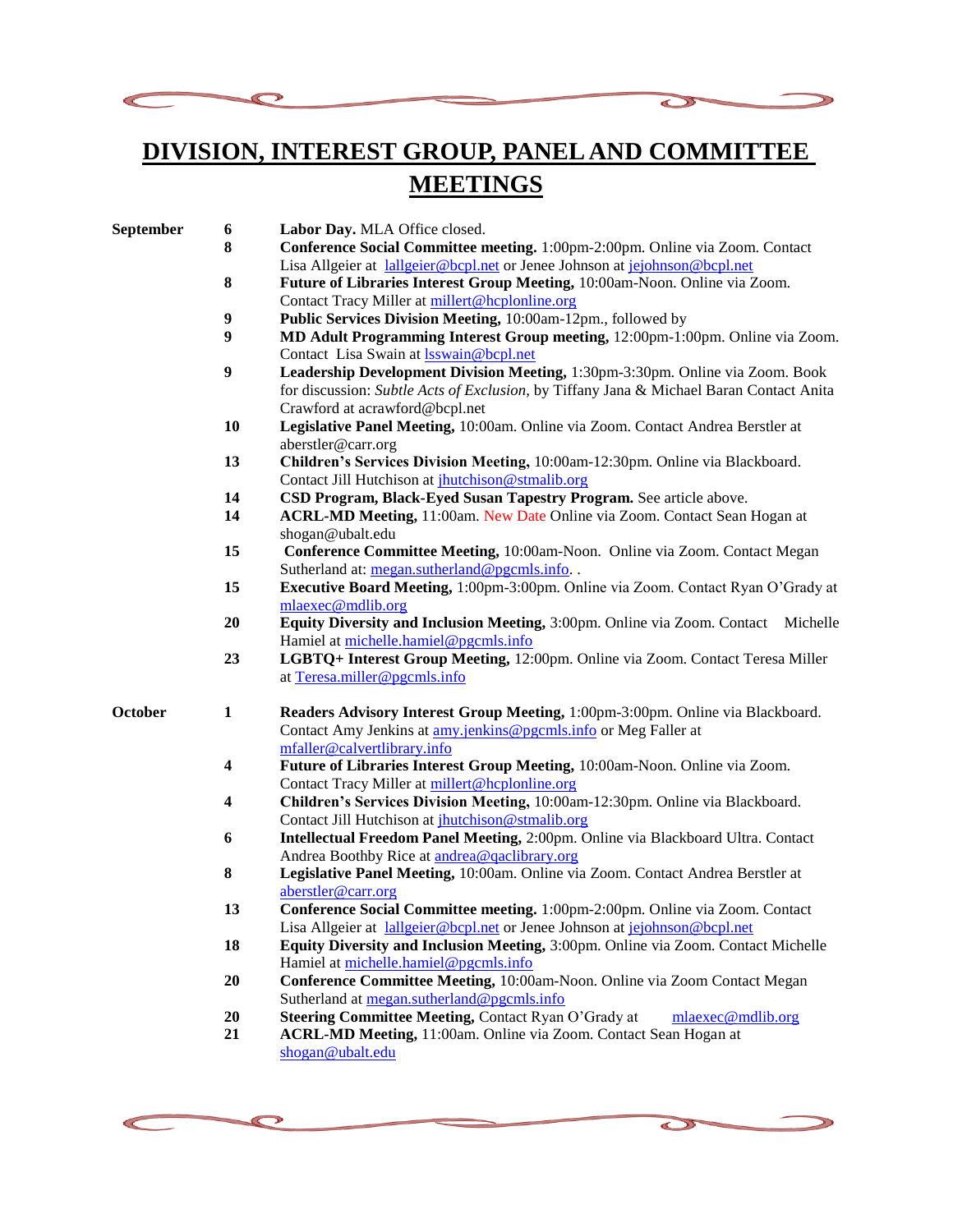



 $\bigcirc$ 

 $\mathcal{D}$ 

| September | 6                | Labor Day. MLA Office closed.                                                           |
|-----------|------------------|-----------------------------------------------------------------------------------------|
|           | 8                | Conference Social Committee meeting. 1:00pm-2:00pm. Online via Zoom. Contact            |
|           |                  | Lisa Allgeier at lallgeier@bcpl.net or Jenee Johnson at jejohnson@bcpl.net              |
|           | ${\bf 8}$        | Future of Libraries Interest Group Meeting, 10:00am-Noon. Online via Zoom.              |
|           |                  | Contact Tracy Miller at millert@hcplonline.org                                          |
|           | $\boldsymbol{9}$ | Public Services Division Meeting, 10:00am-12pm., followed by                            |
|           | $\boldsymbol{9}$ | MD Adult Programming Interest Group meeting, 12:00pm-1:00pm. Online via Zoom.           |
|           |                  | Contact Lisa Swain at <b>Isswain@bcpl.net</b>                                           |
|           | $\boldsymbol{9}$ | Leadership Development Division Meeting, 1:30pm-3:30pm. Online via Zoom. Book           |
|           |                  | for discussion: Subtle Acts of Exclusion, by Tiffany Jana & Michael Baran Contact Anita |
|           |                  | Crawford at acrawford@bcpl.net                                                          |
|           | 10               | Legislative Panel Meeting, 10:00am. Online via Zoom. Contact Andrea Berstler at         |
|           |                  | aberstler@carr.org                                                                      |
|           | 13               | Children's Services Division Meeting, 10:00am-12:30pm. Online via Blackboard.           |
|           |                  | Contact Jill Hutchison at jhutchison@stmalib.org                                        |
|           | 14               | CSD Program, Black-Eyed Susan Tapestry Program. See article above.                      |
|           | 14               | ACRL-MD Meeting, 11:00am. New Date Online via Zoom. Contact Sean Hogan at               |
|           |                  | shogan@ubalt.edu                                                                        |
|           | 15               | Conference Committee Meeting, 10:00am-Noon. Online via Zoom. Contact Megan              |
|           |                  | Sutherland at: megan.sutherland@pgcmls.info                                             |
|           | 15               | Executive Board Meeting, 1:00pm-3:00pm. Online via Zoom. Contact Ryan O'Grady at        |
|           |                  | mlaexec@mdlib.org                                                                       |
|           | 20               | Equity Diversity and Inclusion Meeting, 3:00pm. Online via Zoom. Contact<br>Michelle    |
|           |                  | Hamiel at michelle.hamiel@pgcmls.info                                                   |
|           | 23               | LGBTQ+ Interest Group Meeting, 12:00pm. Online via Zoom. Contact Teresa Miller          |
|           |                  | at Teresa.miller@pgcmls.info                                                            |
| October   | $\mathbf{1}$     | Readers Advisory Interest Group Meeting, 1:00pm-3:00pm. Online via Blackboard.          |
|           |                  | Contact Amy Jenkins at amy jenkins@pgcmls.info or Meg Faller at                         |
|           |                  | mfaller@calvertlibrary.info                                                             |
|           | 4                | Future of Libraries Interest Group Meeting, 10:00am-Noon. Online via Zoom.              |
|           |                  | Contact Tracy Miller at millert@hcplonline.org                                          |
|           | 4                | Children's Services Division Meeting, 10:00am-12:30pm. Online via Blackboard.           |
|           |                  | Contact Jill Hutchison at <i>jhutchison@stmalib.org</i>                                 |
|           | 6                | Intellectual Freedom Panel Meeting, 2:00pm. Online via Blackboard Ultra. Contact        |
|           |                  | Andrea Boothby Rice at andrea@qaclibrary.org                                            |
|           | ${\bf 8}$        | Legislative Panel Meeting, 10:00am. Online via Zoom. Contact Andrea Berstler at         |
|           |                  | aberstler@carr.org                                                                      |
|           | 13               | Conference Social Committee meeting. 1:00pm-2:00pm. Online via Zoom. Contact            |
|           |                  | Lisa Allgeier at lallgeier@bcpl.net or Jenee Johnson at jejohnson@bcpl.net              |
|           | 18               | Equity Diversity and Inclusion Meeting, 3:00pm. Online via Zoom. Contact Michelle       |
|           |                  | Hamiel at michelle.hamiel@pgcmls.info                                                   |
|           | 20               | Conference Committee Meeting, 10:00am-Noon. Online via Zoom Contact Megan               |
|           |                  | Sutherland at megan.sutherland@pgcmls.info                                              |
|           | 20               | Steering Committee Meeting, Contact Ryan O'Grady at<br>mlaexec@mdlib.org                |
|           | 21               | ACRL-MD Meeting, 11:00am. Online via Zoom. Contact Sean Hogan at                        |
|           |                  | shogan@ubalt.edu                                                                        |



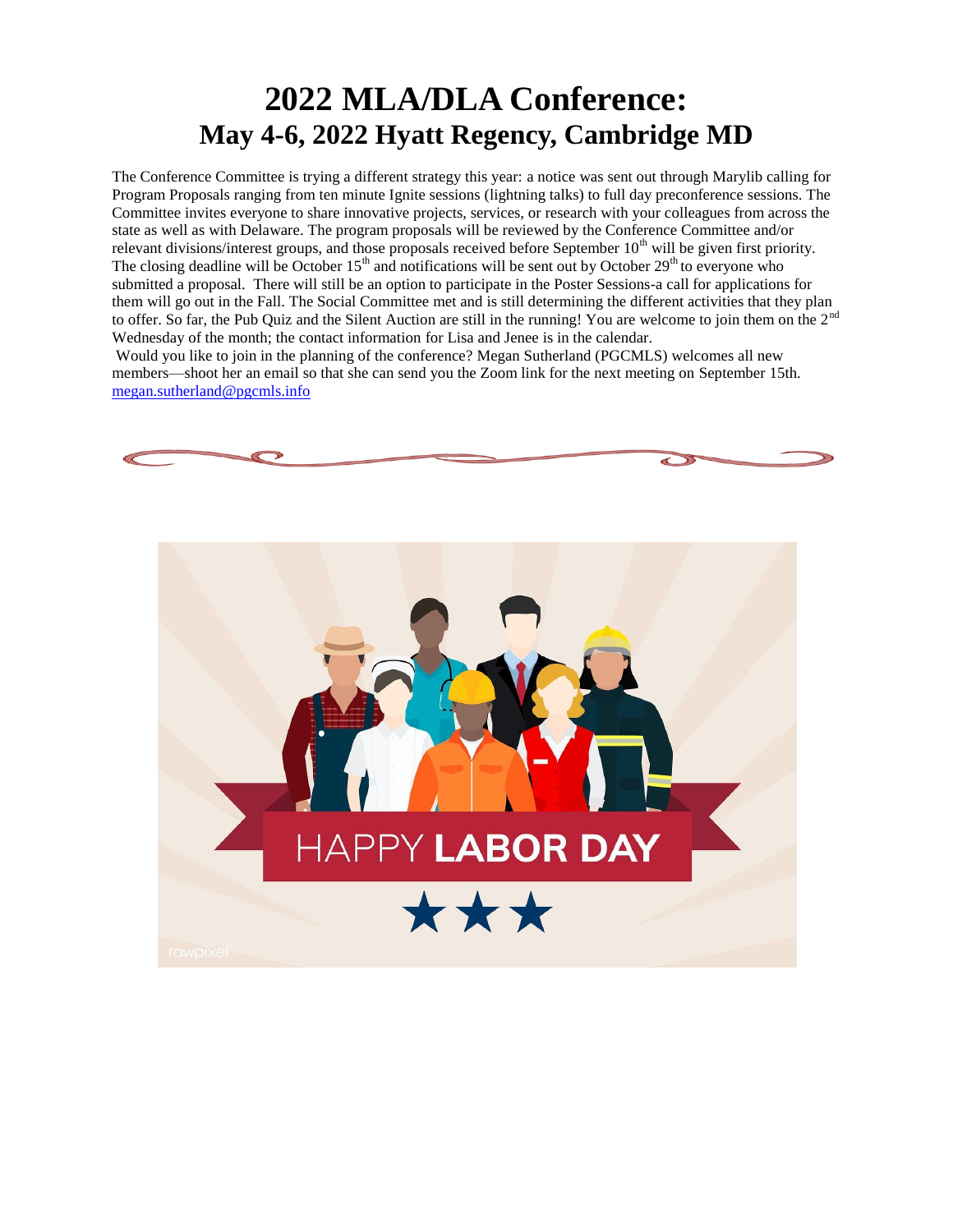## **2022 MLA/DLA Conference: May 4-6, 2022 Hyatt Regency, Cambridge MD**

The Conference Committee is trying a different strategy this year: a notice was sent out through Marylib calling for Program Proposals ranging from ten minute Ignite sessions (lightning talks) to full day preconference sessions. The Committee invites everyone to share innovative projects, services, or research with your colleagues from across the state as well as with Delaware. The program proposals will be reviewed by the Conference Committee and/or relevant divisions/interest groups, and those proposals received before September 10<sup>th</sup> will be given first priority. The closing deadline will be October  $15<sup>th</sup>$  and notifications will be sent out by October  $29<sup>th</sup>$  to everyone who submitted a proposal. There will still be an option to participate in the Poster Sessions-a call for applications for them will go out in the Fall. The Social Committee met and is still determining the different activities that they plan to offer. So far, the Pub Quiz and the Silent Auction are still in the running! You are welcome to join them on the 2<sup>nd</sup> Wednesday of the month; the contact information for Lisa and Jenee is in the calendar.

Would you like to join in the planning of the conference? Megan Sutherland (PGCMLS) welcomes all new members—shoot her an email so that she can send you the Zoom link for the next meeting on September 15th. [megan.sutherland@pgcmls.info](mailto:megan.sutherland@pgcmls.info)